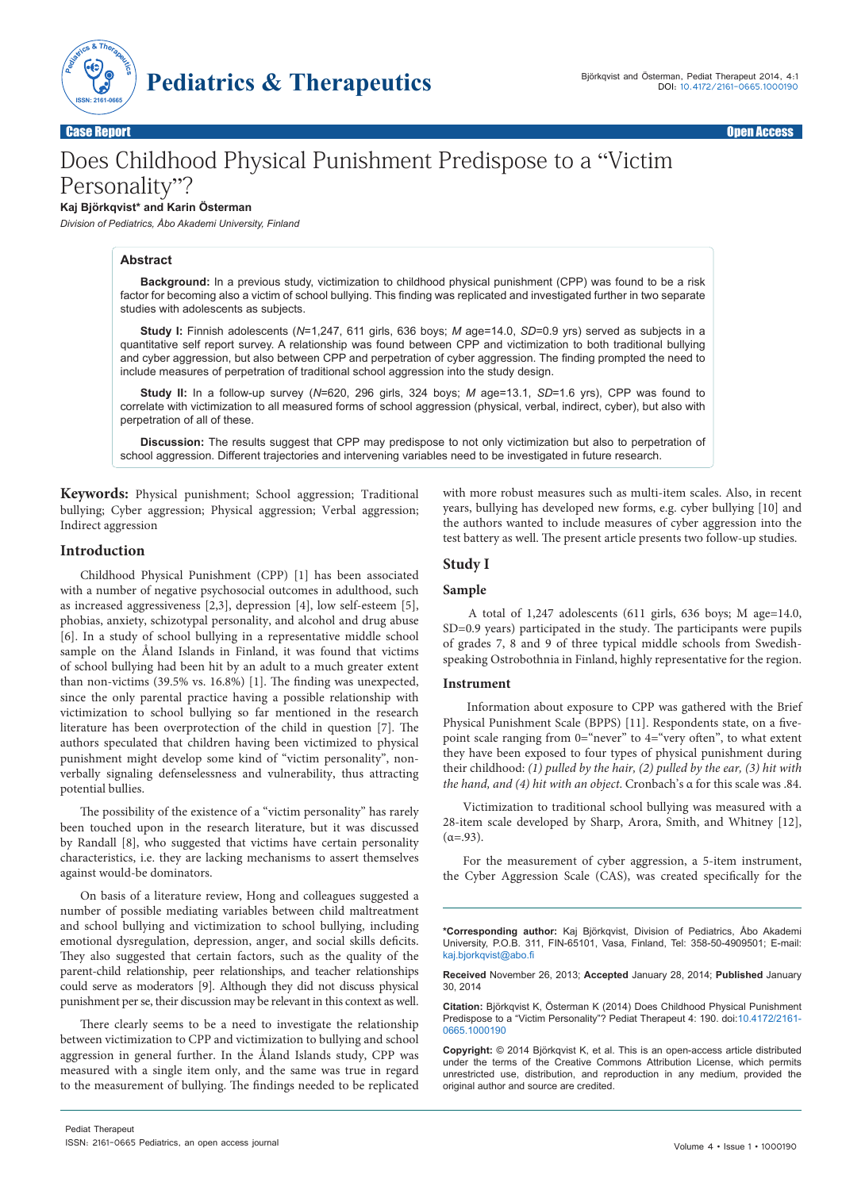

Case Report Open Access

# Does Childhood Physical Punishment Predispose to a "Victim Personality"?

# **Kaj Björkqvist\* and Karin Österman**

*Division of Pediatrics, Åbo Akademi University, Finland*

# **Abstract**

**Background:** In a previous study, victimization to childhood physical punishment (CPP) was found to be a risk factor for becoming also a victim of school bullying. This finding was replicated and investigated further in two separate studies with adolescents as subjects.

**Study I:** Finnish adolescents (*N*=1,247, 611 girls, 636 boys; *M* age=14.0, *SD*=0.9 yrs) served as subjects in a quantitative self report survey. A relationship was found between CPP and victimization to both traditional bullying and cyber aggression, but also between CPP and perpetration of cyber aggression. The finding prompted the need to include measures of perpetration of traditional school aggression into the study design.

**Study II:** In a follow-up survey (*N*=620, 296 girls, 324 boys; *M* age=13.1, *SD*=1.6 yrs), CPP was found to correlate with victimization to all measured forms of school aggression (physical, verbal, indirect, cyber), but also with perpetration of all of these.

**Discussion:** The results suggest that CPP may predispose to not only victimization but also to perpetration of school aggression. Different trajectories and intervening variables need to be investigated in future research.

**Keywords:** Physical punishment; School aggression; Traditional bullying; Cyber aggression; Physical aggression; Verbal aggression; Indirect aggression

# **Introduction**

Childhood Physical Punishment (CPP) [1] has been associated with a number of negative psychosocial outcomes in adulthood, such as increased aggressiveness [2,3], depression [4], low self-esteem [5], phobias, anxiety, schizotypal personality, and alcohol and drug abuse [6]. In a study of school bullying in a representative middle school sample on the Åland Islands in Finland, it was found that victims of school bullying had been hit by an adult to a much greater extent than non-victims (39.5% vs. 16.8%) [1]. The finding was unexpected, since the only parental practice having a possible relationship with victimization to school bullying so far mentioned in the research literature has been overprotection of the child in question [7]. The authors speculated that children having been victimized to physical punishment might develop some kind of "victim personality", nonverbally signaling defenselessness and vulnerability, thus attracting potential bullies.

The possibility of the existence of a "victim personality" has rarely been touched upon in the research literature, but it was discussed by Randall [8], who suggested that victims have certain personality characteristics, i.e. they are lacking mechanisms to assert themselves against would-be dominators.

On basis of a literature review, Hong and colleagues suggested a number of possible mediating variables between child maltreatment and school bullying and victimization to school bullying, including emotional dysregulation, depression, anger, and social skills deficits. They also suggested that certain factors, such as the quality of the parent-child relationship, peer relationships, and teacher relationships could serve as moderators [9]. Although they did not discuss physical punishment per se, their discussion may be relevant in this context as well.

There clearly seems to be a need to investigate the relationship between victimization to CPP and victimization to bullying and school aggression in general further. In the Åland Islands study, CPP was measured with a single item only, and the same was true in regard to the measurement of bullying. The findings needed to be replicated

with more robust measures such as multi-item scales. Also, in recent years, bullying has developed new forms, e.g. cyber bullying [10] and the authors wanted to include measures of cyber aggression into the test battery as well. The present article presents two follow-up studies.

# **Study I**

# **Sample**

 A total of 1,247 adolescents (611 girls, 636 boys; M age=14.0, SD=0.9 years) participated in the study. The participants were pupils of grades 7, 8 and 9 of three typical middle schools from Swedishspeaking Ostrobothnia in Finland, highly representative for the region.

#### **Instrument**

 Information about exposure to CPP was gathered with the Brief Physical Punishment Scale (BPPS) [11]. Respondents state, on a fivepoint scale ranging from 0="never" to 4="very often", to what extent they have been exposed to four types of physical punishment during their childhood: *(1) pulled by the hair, (2) pulled by the ear, (3) hit with the hand, and (4) hit with an object*. Cronbach's α for this scale was .84.

Victimization to traditional school bullying was measured with a 28-item scale developed by Sharp, Arora, Smith, and Whitney [12],  $(α=0.93)$ .

For the measurement of cyber aggression, a 5-item instrument, the Cyber Aggression Scale (CAS), was created specifically for the

**\*Corresponding author:** Kaj Björkqvist, Division of Pediatrics, Åbo Akademi University, P.O.B. 311, FIN-65101, Vasa, Finland, Tel: 358-50-4909501; E-mail: kaj.bjorkqvist@abo.fi

**Received** November 26, 2013; **Accepted** January 28, 2014; **Published** January 30, 2014

**Citation:** Björkqvist K, Österman K (2014) Does Childhood Physical Punishment Predispose to a "Victim Personality"? Pediat Therapeut 4: 190. doi:10.4172/2161- 0665.1000190

**Copyright:** © 2014 Björkqvist K, et al. This is an open-access article distributed under the terms of the Creative Commons Attribution License, which permits unrestricted use, distribution, and reproduction in any medium, provided the original author and source are credited.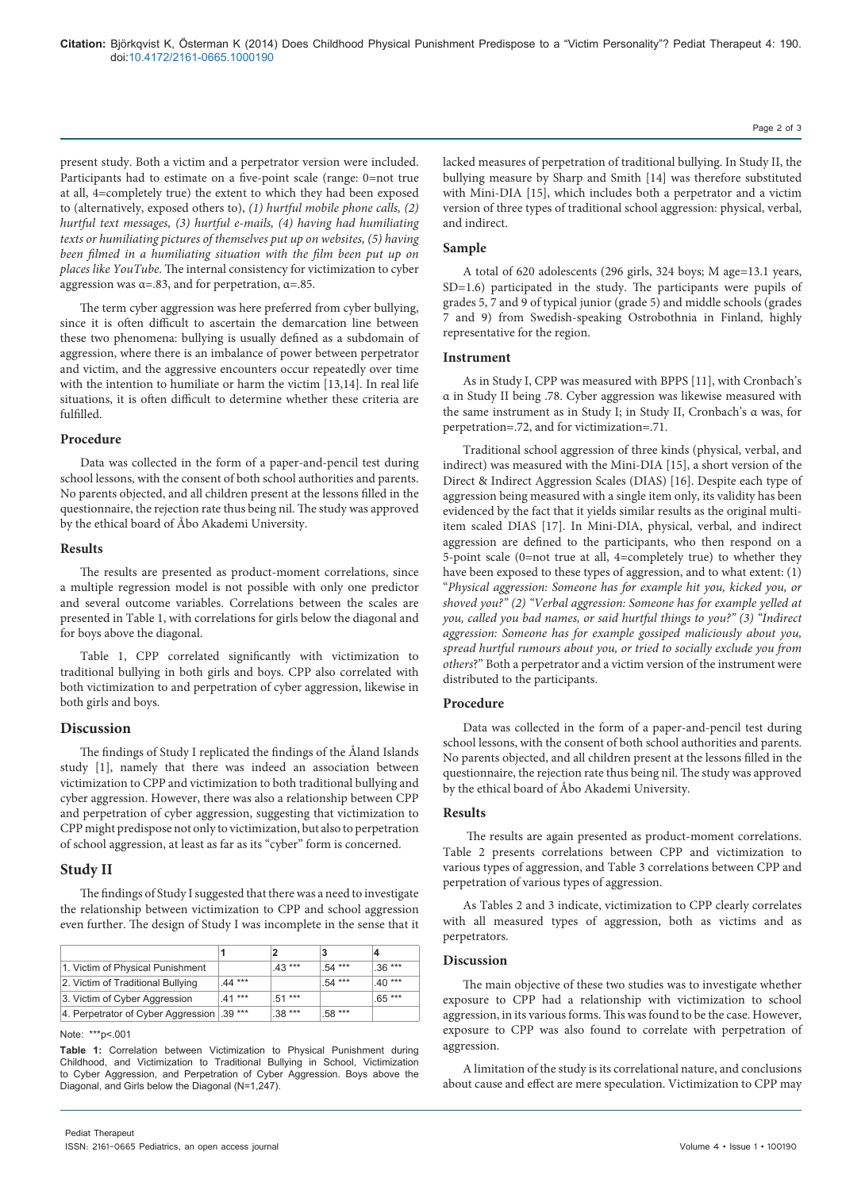present study. Both a victim and a perpetrator version were included. Participants had to estimate on a five-point scale (range: 0=not true at all, 4=completely true) the extent to which they had been exposed to (alternatively, exposed others to), *(1) hurtful mobile phone calls, (2) hurtful text messages, (3) hurtful e-mails, (4) having had humiliating texts or humiliating pictures of themselves put up on websites, (5) having been filmed in a humiliating situation with the film been put up on places like YouTube*. The internal consistency for victimization to cyber aggression was  $\alpha = .83$ , and for perpetration,  $\alpha = .85$ .

The term cyber aggression was here preferred from cyber bullying, since it is often difficult to ascertain the demarcation line between these two phenomena: bullying is usually defined as a subdomain of aggression, where there is an imbalance of power between perpetrator and victim, and the aggressive encounters occur repeatedly over time with the intention to humiliate or harm the victim [13,14]. In real life situations, it is often difficult to determine whether these criteria are fulfilled.

#### **Procedure**

Data was collected in the form of a paper-and-pencil test during school lessons, with the consent of both school authorities and parents. No parents objected, and all children present at the lessons filled in the questionnaire, the rejection rate thus being nil. The study was approved by the ethical board of Åbo Akademi University.

# **Results**

The results are presented as product-moment correlations, since a multiple regression model is not possible with only one predictor and several outcome variables. Correlations between the scales are presented in Table 1, with correlations for girls below the diagonal and for boys above the diagonal.

Table 1, CPP correlated significantly with victimization to traditional bullying in both girls and boys. CPP also correlated with both victimization to and perpetration of cyber aggression, likewise in both girls and boys.

#### **Discussion**

The findings of Study I replicated the findings of the Åland Islands study [1], namely that there was indeed an association between victimization to CPP and victimization to both traditional bullying and cyber aggression. However, there was also a relationship between CPP and perpetration of cyber aggression, suggesting that victimization to CPP might predispose not only to victimization, but also to perpetration of school aggression, at least as far as its "cyber" form is concerned.

# **Study II**

The findings of Study I suggested that there was a need to investigate the relationship between victimization to CPP and school aggression even further. The design of Study I was incomplete in the sense that it

|                                           |          |          |         | 4        |
|-------------------------------------------|----------|----------|---------|----------|
| 1. Victim of Physical Punishment          |          | $.43***$ | .54 *** | $.36***$ |
| 2. Victim of Traditional Bullying         | $.44***$ |          | .54 *** | $40***$  |
| 3. Victim of Cyber Aggression             | $41***$  | $.51***$ |         | $.65***$ |
| 4. Perpetrator of Cyber Aggression 39 *** |          | $.38***$ | .58 *** |          |

Note: \*\*\*p<.001

Page 2 of 3

lacked measures of perpetration of traditional bullying. In Study II, the bullying measure by Sharp and Smith [14] was therefore substituted with Mini-DIA [15], which includes both a perpetrator and a victim version of three types of traditional school aggression: physical, verbal, and indirect.

## **Sample**

A total of 620 adolescents (296 girls, 324 boys; M age=13.1 years, SD=1.6) participated in the study. The participants were pupils of grades 5, 7 and 9 of typical junior (grade 5) and middle schools (grades 7 and 9) from Swedish-speaking Ostrobothnia in Finland, highly representative for the region.

#### **Instrument**

As in Study I, CPP was measured with BPPS [11], with Cronbach's α in Study II being .78. Cyber aggression was likewise measured with the same instrument as in Study I; in Study II, Cronbach's α was, for perpetration=.72, and for victimization=.71.

Traditional school aggression of three kinds (physical, verbal, and indirect) was measured with the Mini-DIA [15], a short version of the Direct & Indirect Aggression Scales (DIAS) [16]. Despite each type of aggression being measured with a single item only, its validity has been evidenced by the fact that it yields similar results as the original multiitem scaled DIAS [17]. In Mini-DIA, physical, verbal, and indirect aggression are defined to the participants, who then respond on a 5-point scale (0=not true at all, 4=completely true) to whether they have been exposed to these types of aggression, and to what extent: (1) "*Physical aggression: Someone has for example hit you, kicked you, or shoved you?" (2) "Verbal aggression: Someone has for example yelled at you, called you bad names, or said hurtful things to you?" (3) "Indirect aggression: Someone has for example gossiped maliciously about you, spread hurtful rumours about you, or tried to socially exclude you from others*?" Both a perpetrator and a victim version of the instrument were distributed to the participants.

## **Procedure**

Data was collected in the form of a paper-and-pencil test during school lessons, with the consent of both school authorities and parents. No parents objected, and all children present at the lessons filled in the questionnaire, the rejection rate thus being nil. The study was approved by the ethical board of Åbo Akademi University.

#### **Results**

 The results are again presented as product-moment correlations. Table 2 presents correlations between CPP and victimization to various types of aggression, and Table 3 correlations between CPP and perpetration of various types of aggression.

As Tables 2 and 3 indicate, victimization to CPP clearly correlates with all measured types of aggression, both as victims and as perpetrators.

## **Discussion**

The main objective of these two studies was to investigate whether exposure to CPP had a relationship with victimization to school aggression, in its various forms. This was found to be the case. However, exposure to CPP was also found to correlate with perpetration of aggression.

A limitation of the study is its correlational nature, and conclusions about cause and effect are mere speculation. Victimization to CPP may

**Table 1:** Correlation between Victimization to Physical Punishment during Childhood, and Victimization to Traditional Bullying in School, Victimization to Cyber Aggression, and Perpetration of Cyber Aggression. Boys above the Diagonal, and Girls below the Diagonal (N=1,247).